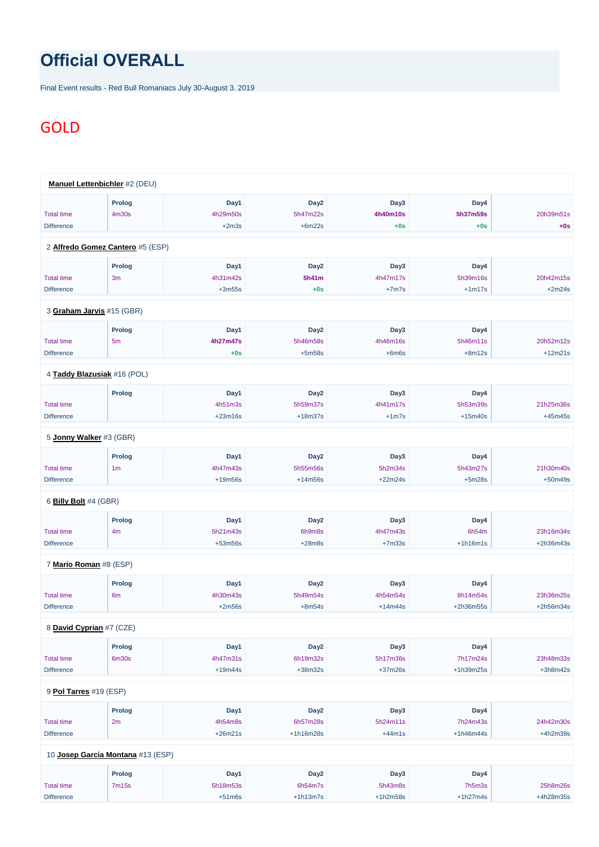## **Official OVERALL**

Final Event results - Red Bull Romaniacs July 30-August 3. 2019

## GOLD

|                         | <b>Manuel Lettenbichler</b> #2 (DEU) |           |                  |           |            |           |
|-------------------------|--------------------------------------|-----------|------------------|-----------|------------|-----------|
|                         | <b>Prolog</b>                        | Day1      | Day <sub>2</sub> | Day3      | Day4       |           |
| <b>Total time</b>       | 4m30s                                | 4h29m50s  | 5h47m22s         | 4h40m10s  | 5h37m59s   | 20h39m51s |
| <b>Difference</b>       |                                      | $+2m3s$   | $+6m22s$         | $+0s$     | $+0s$      | $+0s$     |
|                         | 2 Alfredo Gomez Cantero #5 (ESP)     |           |                  |           |            |           |
|                         | <b>Prolog</b>                        | Day1      | Day <sub>2</sub> | Day3      | Day4       |           |
| <b>Total time</b>       | 3m                                   | 4h31m42s  | 5h41m            | 4h47m17s  | 5h39m16s   | 20h42m15s |
| <b>Difference</b>       |                                      | $+3m55s$  | $+0s$            | $+7m7s$   | $+1m17s$   | $+2m24s$  |
|                         | 3 Graham Jarvis #15 (GBR)            |           |                  |           |            |           |
|                         | <b>Prolog</b>                        | Day1      | Day <sub>2</sub> | Day3      | Day4       |           |
| <b>Total time</b>       | 5 <sub>m</sub>                       | 4h27m47s  | 5h46m58s         | 4h46m16s  | 5h46m11s   | 20h52m12s |
| <b>Difference</b>       |                                      | $+0s$     | $+5m58s$         | $+6m6s$   | $+8m12s$   | $+12m21s$ |
|                         | 4 Taddy Blazusiak #16 (POL)          |           |                  |           |            |           |
|                         | <b>Prolog</b>                        | Day1      | Day <sub>2</sub> | Day3      | Day4       |           |
| <b>Total time</b>       |                                      | 4h51m3s   | 5h59m37s         | 4h41m17s  | 5h53m39s   | 21h25m36s |
| <b>Difference</b>       |                                      | $+23m16s$ | $+18m37s$        | $+1m7s$   | $+15m40s$  | $+45m45s$ |
| 5 Jonny Walker #3 (GBR) |                                      |           |                  |           |            |           |
|                         | <b>Prolog</b>                        | Day1      | Day <sub>2</sub> | Day3      | Day4       |           |
| <b>Total time</b>       | 1 <sub>m</sub>                       | 4h47m43s  | 5h55m56s         | 5h2m34s   | 5h43m27s   | 21h30m40s |
| <b>Difference</b>       |                                      | $+19m56s$ | $+14m56s$        | $+22m24s$ | $+5m28s$   | $+50m49s$ |
| 6 Billy Bolt #4 (GBR)   |                                      |           |                  |           |            |           |
|                         | <b>Prolog</b>                        | Day1      | Day <sub>2</sub> | Day3      | Day4       |           |
| <b>Total time</b>       | 4m                                   | 5h21m43s  | 6h9m8s           | 4h47m43s  | 6h54m      | 23h16m34s |
| <b>Difference</b>       |                                      | $+53m56s$ | $+28m8s$         | $+7m33s$  | $+1h16m1s$ | +2h36m43s |
| 7 Mario Roman #8 (ESP)  |                                      |           |                  |           |            |           |
|                         | <b>Prolog</b>                        | Day1      | Day <sub>2</sub> | Day3      | Day4       |           |
| <b>Total time</b>       | 6 <sub>m</sub>                       | 4h30m43s  | 5h49m54s         | 4h54m54s  | 8h14m54s   | 23h36m25s |
| <b>Difference</b>       |                                      | $+2m56s$  | $+8m54s$         | $+14m44s$ | +2h36m55s  | +2h56m34s |
|                         |                                      |           |                  |           |            |           |

8 **[David Cyprian](https://www.redbullromaniacs.com/for-competitors/profile/?e=rbr2019&b=7)** #7 (CZE)

|                        | <b>Prolog</b>                     | Day1      | Day <sub>2</sub> | Day3       | Day4        |            |  |  |  |
|------------------------|-----------------------------------|-----------|------------------|------------|-------------|------------|--|--|--|
| <b>Total time</b>      | 6 <sub>m30s</sub>                 | 4h47m31s  | 6h19m32s         | 5h17m36s   | 7h17m24s    | 23h48m33s  |  |  |  |
| <b>Difference</b>      |                                   | $+19m44s$ | $+38m32s$        | $+37m26s$  | $+1h39m25s$ | $+3h8m42s$ |  |  |  |
|                        |                                   |           |                  |            |             |            |  |  |  |
| 9 Pol Tarres #19 (ESP) |                                   |           |                  |            |             |            |  |  |  |
|                        | Prolog                            | Day1      | Day <sub>2</sub> | Day3       | Day4        |            |  |  |  |
| <b>Total time</b>      | 2m                                | 4h54m8s   | 6h57m28s         | 5h24m11s   | 7h24m43s    | 24h42m30s  |  |  |  |
| <b>Difference</b>      |                                   | $+26m21s$ | $+1h16m28s$      | $+44m1s$   | $+1h46m44s$ | $+4h2m39s$ |  |  |  |
|                        |                                   |           |                  |            |             |            |  |  |  |
|                        | 10 Josep Garcia Montana #13 (ESP) |           |                  |            |             |            |  |  |  |
|                        | Prolog                            | Day1      | Day <sub>2</sub> | Day3       | Day4        |            |  |  |  |
| <b>Total time</b>      | 7m15s                             | 5h18m53s  | 6h54m7s          | 5h43m8s    | 7h5m3s      | 25h8m26s   |  |  |  |
| <b>Difference</b>      |                                   | $+51m6s$  | $+1h13m7s$       | $+1h2m58s$ | $+1h27m4s$  | +4h28m35s  |  |  |  |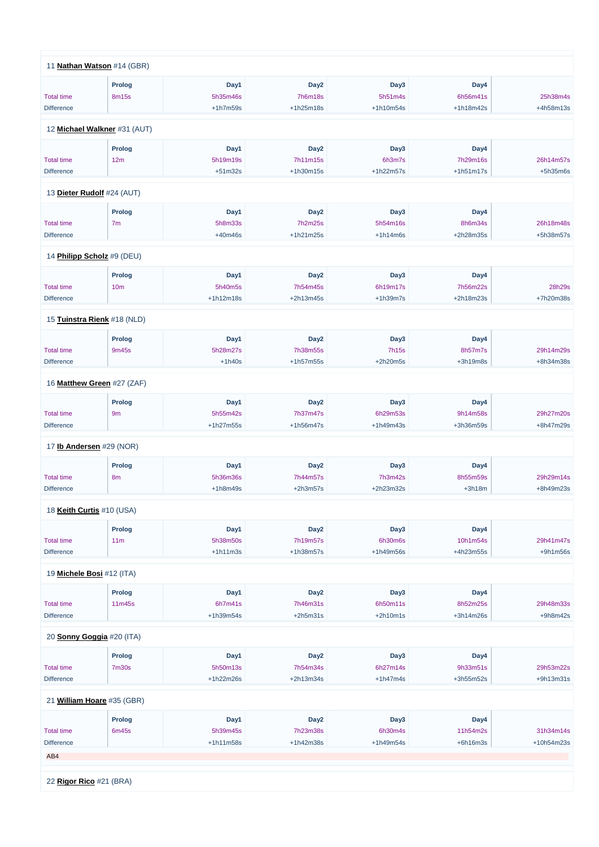| 11 Nathan Watson #14 (GBR)      |                 |            |                  |              |             |            |
|---------------------------------|-----------------|------------|------------------|--------------|-------------|------------|
|                                 | Prolog          | Day1       | Day <sub>2</sub> | Day3         | Day4        |            |
| <b>Total time</b>               | 8m15s           | 5h35m46s   | <b>7h6m18s</b>   | 5h51m4s      | 6h56m41s    | 25h38m4s   |
| <b>Difference</b>               |                 | $+1h7m59s$ | $+1h25m18s$      | +1h10m54s    | +1h18m42s   | +4h58m13s  |
|                                 |                 |            |                  |              |             |            |
| 12 Michael Walkner #31 (AUT)    |                 |            |                  |              |             |            |
|                                 | Prolog          | Day1       | Day <sub>2</sub> | Day3         | Day4        |            |
| <b>Total time</b>               | 12m             | 5h19m19s   | 7h11m15s         | 6h3m7s       | 7h29m16s    | 26h14m57s  |
| <b>Difference</b>               |                 | $+51m32s$  | +1h30m15s        | +1h22m57s    | $+1h51m17s$ | $+5h35m6s$ |
| 13 Dieter Rudolf #24 (AUT)      |                 |            |                  |              |             |            |
|                                 |                 |            |                  |              |             |            |
|                                 | Prolog          | Day1       | Day <sub>2</sub> | Day3         | Day4        |            |
| <b>Total time</b>               | 7 <sub>m</sub>  | 5h8m33s    | 7h2m25s          | 5h54m16s     | 8h6m34s     | 26h18m48s  |
| <b>Difference</b>               |                 | $+40m46s$  | +1h21m25s        | $+1h14m6s$   | +2h28m35s   | +5h38m57s  |
| 14 Philipp Scholz #9 (DEU)      |                 |            |                  |              |             |            |
|                                 | Prolog          | Day1       | Day <sub>2</sub> | Day3         | Day4        |            |
| <b>Total time</b>               | 10 <sub>m</sub> | 5h40m5s    | 7h54m45s         | 6h19m17s     | 7h56m22s    | 28h29s     |
| <b>Difference</b>               |                 | +1h12m18s  | +2h13m45s        | $+1h39m7s$   | +2h18m23s   | +7h20m38s  |
| 15 Tuinstra Rienk #18 (NLD)     |                 |            |                  |              |             |            |
|                                 | Prolog          | Day1       | Day <sub>2</sub> | Day3         | Day4        |            |
| <b>Total time</b>               | 9m45s           | 5h28m27s   | 7h38m55s         | <b>7h15s</b> | 8h57m7s     | 29h14m29s  |
| <b>Difference</b>               |                 | $+1h40s$   | +1h57m55s        | +2h20m5s     | $+3h19m8s$  | +8h34m38s  |
|                                 |                 |            |                  |              |             |            |
| 16 Matthew Green #27 (ZAF)      |                 |            |                  |              |             |            |
|                                 | Prolog          | Day1       | Day <sub>2</sub> | Day3         | Day4        |            |
| <b>Total time</b>               | 9m              | 5h55m42s   | 7h37m47s         | 6h29m53s     | 9h14m58s    | 29h27m20s  |
| <b>Difference</b>               |                 | +1h27m55s  | +1h56m47s        | +1h49m43s    | +3h36m59s   | +8h47m29s  |
| 17 <b>Ib Andersen</b> #29 (NOR) |                 |            |                  |              |             |            |
|                                 | <b>Prolog</b>   | Day1       | Day <sub>2</sub> | Day3         | Day4        |            |
| <b>Total time</b>               | 8m              | 5h36m36s   | 7h44m57s         | 7h3m42s      | 8h55m59s    | 29h29m14s  |
| <b>Difference</b>               |                 | $+1h8m49s$ | $+2h3m57s$       | +2h23m32s    | $+3h18m$    | +8h49m23s  |
|                                 |                 |            |                  |              |             |            |
| 18 Keith Curtis #10 (USA)       |                 |            |                  |              |             |            |
|                                 | <b>Prolog</b>   | Day1       | Day <sub>2</sub> | Day3         | Day4        |            |
| <b>Total time</b>               | 11m             | 5h38m50s   | 7h19m57s         | 6h30m6s      | 10h1m54s    | 29h41m47s  |
| <b>Difference</b>               |                 | $+1h11m3s$ | +1h38m57s        | +1h49m56s    | +4h23m55s   | $+9h1m56s$ |
| 19 Michele Bosi #12 (ITA)       |                 |            |                  |              |             |            |
|                                 |                 |            |                  |              |             |            |
|                                 | Prolog          | Day1       | Day <sub>2</sub> | Day3         | Day4        |            |
| <b>Total time</b>               | 11m45s          | 6h7m41s    | 7h46m31s         | 6h50m11s     | 8h52m25s    | 29h48m33s  |
| <b>Difference</b>               |                 | +1h39m54s  | $+2h5m31s$       | $+2h10m1s$   | +3h14m26s   | $+9h8m42s$ |

20 **[Sonny Goggia](https://www.redbullromaniacs.com/for-competitors/profile/?e=rbr2019&b=20)** #20 (ITA)

|                            | Prolog            | Day1        | Day <sub>2</sub> | Day3        | Day4        |              |  |  |
|----------------------------|-------------------|-------------|------------------|-------------|-------------|--------------|--|--|
| <b>Total time</b>          | 7 <sub>m30s</sub> | 5h50m13s    | 7h54m34s         | 6h27m14s    | 9h33m51s    | 29h53m22s    |  |  |
| <b>Difference</b>          |                   | $+1h22m26s$ | $+2h13m34s$      | $+1h47m4s$  | $+3h55m52s$ | $+9h13m31s$  |  |  |
| 21 William Hoare #35 (GBR) |                   |             |                  |             |             |              |  |  |
|                            |                   |             |                  |             |             |              |  |  |
|                            | Prolog            | Day1        | Day <sub>2</sub> | Day3        | Day4        |              |  |  |
| <b>Total time</b>          | 6m45s             | 5h39m45s    | 7h23m38s         | 6h30m4s     | 11h54m2s    | 31h34m14s    |  |  |
| <b>Difference</b>          |                   | $+1h11m58s$ | $+1h42m38s$      | $+1h49m54s$ | $+6h16m3s$  | $+10h54m23s$ |  |  |
| AB4                        |                   |             |                  |             |             |              |  |  |
|                            |                   |             |                  |             |             |              |  |  |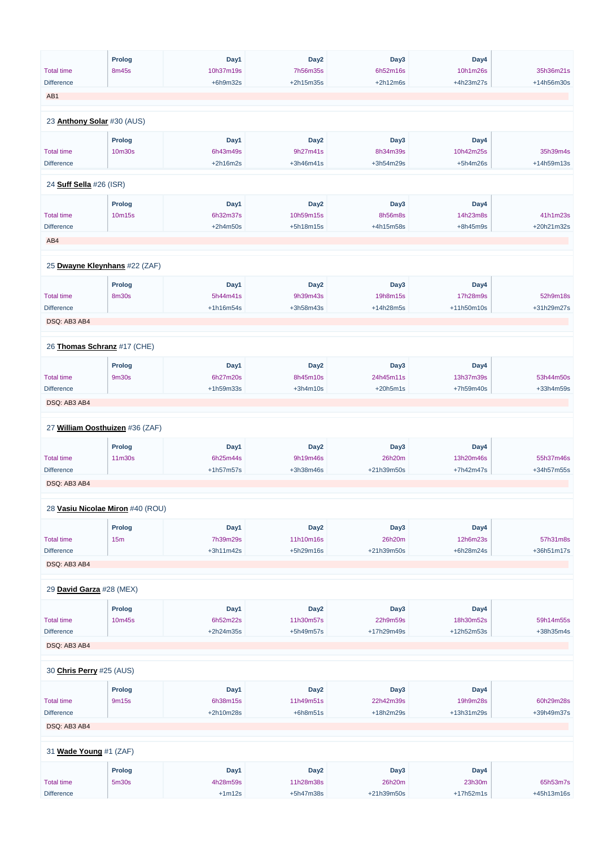|                                | <b>Prolog</b>                    | Day1       | Day <sub>2</sub> | Day3       | Day4        |            |
|--------------------------------|----------------------------------|------------|------------------|------------|-------------|------------|
| <b>Total time</b>              | 8m45s                            | 10h37m19s  | 7h56m35s         | 6h52m16s   | 10h1m26s    | 35h36m21s  |
| <b>Difference</b>              |                                  | $+6h9m32s$ | +2h15m35s        | $+2h12m6s$ | +4h23m27s   | +14h56m30s |
| AB1                            |                                  |            |                  |            |             |            |
|                                |                                  |            |                  |            |             |            |
| 23 Anthony Solar #30 (AUS)     |                                  |            |                  |            |             |            |
|                                |                                  |            |                  |            |             |            |
|                                | <b>Prolog</b>                    | Day1       | Day <sub>2</sub> | Day3       | Day4        |            |
| <b>Total time</b>              | 10m30s                           | 6h43m49s   | 9h27m41s         | 8h34m39s   | 10h42m25s   | 35h39m4s   |
| <b>Difference</b>              |                                  | $+2h16m2s$ | +3h46m41s        | +3h54m29s  | $+5h4m26s$  | +14h59m13s |
|                                |                                  |            |                  |            |             |            |
| 24 <b>Suff Sella</b> #26 (ISR) |                                  |            |                  |            |             |            |
|                                | <b>Prolog</b>                    | Day1       | Day <sub>2</sub> | Day3       | Day4        |            |
| <b>Total time</b>              | 10m15s                           | 6h32m37s   | 10h59m15s        | 8h56m8s    | 14h23m8s    | 41h1m23s   |
| <b>Difference</b>              |                                  | $+2h4m50s$ | +5h18m15s        | +4h15m58s  | $+8h45m9s$  | +20h21m32s |
|                                |                                  |            |                  |            |             |            |
| AB4                            |                                  |            |                  |            |             |            |
|                                |                                  |            |                  |            |             |            |
|                                | 25 Dwayne Kleynhans #22 (ZAF)    |            |                  |            |             |            |
|                                | <b>Prolog</b>                    | Day1       | Day <sub>2</sub> | Day3       | Day4        |            |
| <b>Total time</b>              | <b>8m30s</b>                     | 5h44m41s   | 9h39m43s         | 19h8m15s   | 17h28m9s    | 52h9m18s   |
| <b>Difference</b>              |                                  | +1h16m54s  | +3h58m43s        | +14h28m5s  | +11h50m10s  | +31h29m27s |
| DSQ: AB3 AB4                   |                                  |            |                  |            |             |            |
|                                |                                  |            |                  |            |             |            |
| 26 Thomas Schranz #17 (CHE)    |                                  |            |                  |            |             |            |
|                                |                                  |            |                  |            |             |            |
|                                | Prolog                           | Day1       | Day <sub>2</sub> | Day3       | Day4        |            |
| <b>Total time</b>              | 9m30s                            | 6h27m20s   | 8h45m10s         | 24h45m11s  | 13h37m39s   | 53h44m50s  |
| <b>Difference</b>              |                                  | +1h59m33s  | $+3h4m10s$       | $+20h5m1s$ | +7h59m40s   | +33h4m59s  |
| DSQ: AB3 AB4                   |                                  |            |                  |            |             |            |
|                                |                                  |            |                  |            |             |            |
|                                | 27 William Oosthuizen #36 (ZAF)  |            |                  |            |             |            |
|                                |                                  |            |                  |            |             |            |
|                                | <b>Prolog</b>                    | Day1       | Day <sub>2</sub> | Day3       | Day4        |            |
| <b>Total time</b>              | 11m30s                           | 6h25m44s   | 9h19m46s         | 26h20m     | 13h20m46s   | 55h37m46s  |
| <b>Difference</b>              |                                  | +1h57m57s  | +3h38m46s        | +21h39m50s | $+7h42m47s$ | +34h57m55s |
| DSQ: AB3 AB4                   |                                  |            |                  |            |             |            |
|                                |                                  |            |                  |            |             |            |
|                                | 28 Vasiu Nicolae Miron #40 (ROU) |            |                  |            |             |            |
|                                |                                  |            |                  |            |             |            |
|                                | <b>Prolog</b>                    | Day1       | Day <sub>2</sub> | Day3       | Day4        |            |
| <b>Total time</b>              | 15m                              | 7h39m29s   | 11h10m16s        | 26h20m     | 12h6m23s    | 57h31m8s   |
| <b>Difference</b>              |                                  | +3h11m42s  | +5h29m16s        | +21h39m50s | +6h28m24s   | +36h51m17s |
| DSQ: AB3 AB4                   |                                  |            |                  |            |             |            |
|                                |                                  |            |                  |            |             |            |
| 29 David Garza #28 (MEX)       |                                  |            |                  |            |             |            |
|                                | <b>Prolog</b>                    | Day1       | Day <sub>2</sub> | Day3       | Day4        |            |
| <b>Total time</b>              | 10m45s                           | 6h52m22s   | 11h30m57s        | 22h9m59s   | 18h30m52s   | 59h14m55s  |
| <b>Difference</b>              |                                  | +2h24m35s  | +5h49m57s        | +17h29m49s | +12h52m53s  | +38h35m4s  |
|                                |                                  |            |                  |            |             |            |
| DSQ: AB3 AB4                   |                                  |            |                  |            |             |            |
|                                |                                  |            |                  |            |             |            |
| 30 Chris Perry #25 (AUS)       |                                  |            |                  |            |             |            |
|                                | <b>Prolog</b>                    | Day1       | Day <sub>2</sub> | Day3       | Day4        |            |
| <b>Total time</b>              | 9m15s                            | 6h38m15s   | 11h49m51s        | 22h42m39s  | 19h9m28s    | 60h29m28s  |
| <b>Difference</b>              |                                  | +2h10m28s  | $+6h8m51s$       | +18h2m29s  | +13h31m29s  | +39h49m37s |
| DSQ: AB3 AB4                   |                                  |            |                  |            |             |            |
|                                |                                  |            |                  |            |             |            |
|                                |                                  |            |                  |            |             |            |
| 31 Wade Young #1 (ZAF)         |                                  |            |                  |            |             |            |
|                                | <b>Prolog</b>                    | Day1       | Day <sub>2</sub> | Day3       | Day4        |            |
| <b>Total time</b>              | 5 <sub>m30s</sub>                | 4h28m59s   | 11h28m38s        | 26h20m     | 23h30m      | 65h53m7s   |
| Difference                     |                                  | $+1m12s$   | +5h47m38s        | +21h39m50s | $+17h52m1s$ | +45h13m16s |